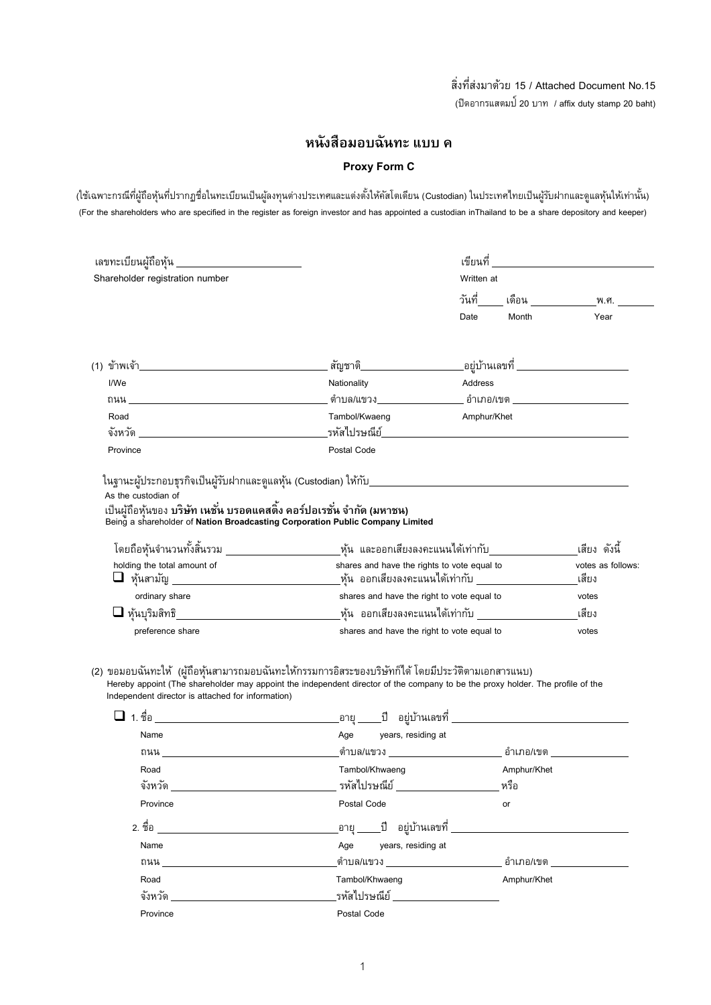## สิ่งที่ส่งมาด้วย 15 / Attached Document No.15 (ปิดอากรแสตมป์20 บาท / affix duty stamp 20 baht)

# **หนังสือมอบฉันทะ แบบ ค**

## **Proxy Form C**

(ใช้เฉพาะกรณีที่ผู้ถือหุ้นที่ปรากฏชื่อในทะเบียนเป็นผู้ลงทุนต่างประเทศและแต่งตั้งให้คัสโตเดียน (Custodian) ในประเทศไทยเป็นผู้รับฝากและดูแลหุ้นให้เท่านั้น) (For the shareholders who are specified in the register as foreign investor and has appointed a custodian inThailand to be a share depository and keeper)

|                                                                        | เลขทะเบียนผู้ถือหุ้น ___________________________                                                                                                                                                                                     | เขียนที่    |             | <u> 1989 - Andrea Station Books, amerikansk politiker (</u> |
|------------------------------------------------------------------------|--------------------------------------------------------------------------------------------------------------------------------------------------------------------------------------------------------------------------------------|-------------|-------------|-------------------------------------------------------------|
| Shareholder registration number                                        |                                                                                                                                                                                                                                      | Written at  |             |                                                             |
|                                                                        |                                                                                                                                                                                                                                      | วันที่      | เดือน       | พ.ศ.                                                        |
|                                                                        |                                                                                                                                                                                                                                      | Date        | Month       | Year                                                        |
|                                                                        |                                                                                                                                                                                                                                      |             |             | <sub>-</sub> อยู่บ้านเลขที่ ________________________        |
| I/We                                                                   | Nationality                                                                                                                                                                                                                          | Address     |             |                                                             |
|                                                                        |                                                                                                                                                                                                                                      |             |             |                                                             |
| Road                                                                   | Tambol/Kwaeng                                                                                                                                                                                                                        | Amphur/Khet |             |                                                             |
|                                                                        |                                                                                                                                                                                                                                      |             |             |                                                             |
| Province                                                               | Postal Code                                                                                                                                                                                                                          |             |             |                                                             |
| เป็นผู้ถือหุ้นของ บริษัท เนชั่น บรอดแคสติ้ง คอร์ปอเรชั่น จำกัด (มหาชน) | Being a shareholder of Nation Broadcasting Corporation Public Company Limited                                                                                                                                                        |             |             |                                                             |
|                                                                        | โดยถือหุ้นจำนวนทั้งสิ้นรวม ______________________หุ้น และออกเสียงลงคะแนนได้เท่ากับ_________________                                                                                                                                  |             |             | เสียง ดังนี้                                                |
| holding the total amount of                                            | shares and have the rights to vote equal to                                                                                                                                                                                          |             |             | votes as follows:                                           |
|                                                                        | $\Box$ หุ้นสามัญ ______________________________หุ้น ออกเสียงลงคะแนนได้เท่ากับ ________________________                                                                                                                               |             |             | เสียง                                                       |
|                                                                        |                                                                                                                                                                                                                                      |             |             |                                                             |
| ordinary share                                                         | shares and have the right to vote equal to                                                                                                                                                                                           |             |             | votes                                                       |
|                                                                        |                                                                                                                                                                                                                                      |             |             | เสียง                                                       |
| preference share                                                       | shares and have the right to vote equal to                                                                                                                                                                                           |             |             | votes                                                       |
| Independent director is attached for information)                      | (2) ขอมอบฉันทะให้ (ผู้ถือหุ้นสามารถมอบฉันทะให้กรรมการอิสระของบริษัทก็ได้ โดยมีประวัติตามเอกสารแนบ)<br>Hereby appoint (The shareholder may appoint the independent director of the company to be the proxy holder. The profile of the |             |             |                                                             |
| Name                                                                   | Age years, residing at                                                                                                                                                                                                               |             |             |                                                             |
|                                                                        |                                                                                                                                                                                                                                      |             |             |                                                             |
| Road                                                                   | Tambol/Khwaeng                                                                                                                                                                                                                       |             | Amphur/Khet |                                                             |
| จังหวัด                                                                | รหัสไปรษณีย์                                                                                                                                                                                                                         |             | หรือ        |                                                             |
| Province                                                               | Postal Code                                                                                                                                                                                                                          |             | or          |                                                             |
| 2. ชื่อ                                                                |                                                                                                                                                                                                                                      |             |             |                                                             |
| Name                                                                   | Age<br>years, residing at                                                                                                                                                                                                            |             |             |                                                             |
| ถนน $\blacksquare$                                                     |                                                                                                                                                                                                                                      |             |             |                                                             |
| Road                                                                   | Tambol/Khwaeng<br>รหัสไปรษณีย์ _____________                                                                                                                                                                                         |             | Amphur/Khet |                                                             |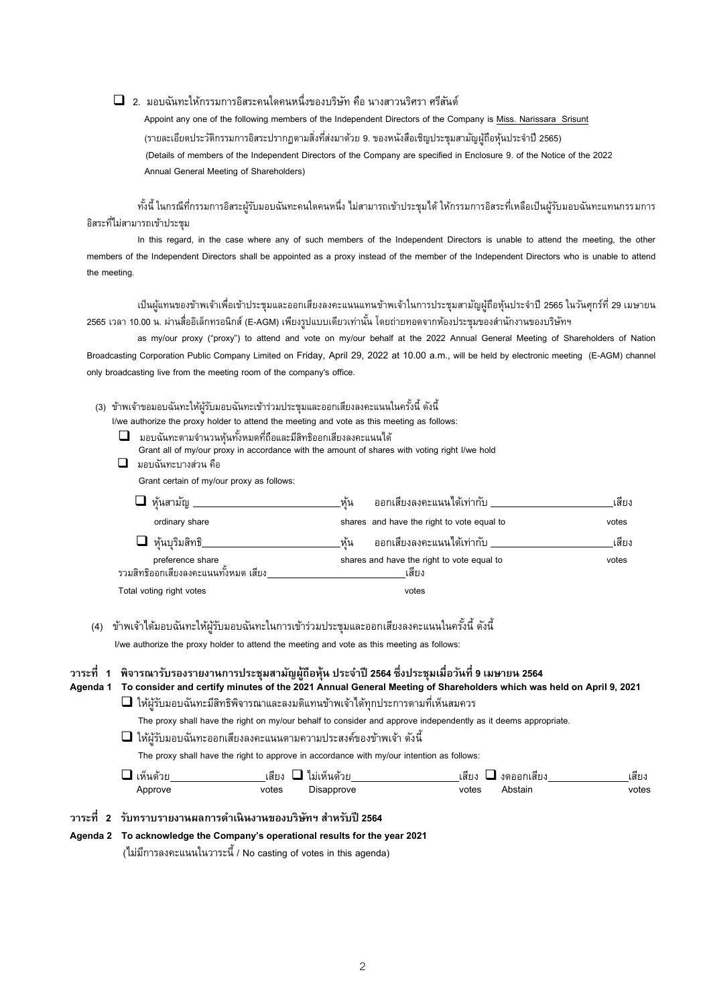## 2. มอบฉันทะให้กรรมการอิสระคนใดคนหนึ่งของบริษัท คือ นางสาวนริศรา ศรีสันต์

 Appoint any one of the following members of the Independent Directors of the Company is Miss. Narissara Srisunt (รายละเอียดประวัติกรรมการอิสระปรากฏตามสิ่งที่ส่งมาด้วย 9. ของหนังสือเชิญประชุมสามัญผู้ถือหุ้นประจำปี 2565) (Details of members of the Independent Directors of the Company are specified in Enclosure 9. of the Notice of the 2022 Annual General Meeting of Shareholders)

ทั้งนี้ ในกรณีที่กรรมการอิสระผู้รับมอบฉันทะคนใดคนหนึ่ง ไม่สามารถเข้าประชุมได้ ให้กรรมการอิสระที่เหลือเป็นผู้รับมอบฉันทะแทนกรรมการ อิสระที่ไม่สามารถเข้าประชุม

In this regard, in the case where any of such members of the Independent Directors is unable to attend the meeting, the other members of the Independent Directors shall be appointed as a proxy instead of the member of the Independent Directors who is unable to attend the meeting.

เป็นผู้แทนของข้าพเจ้าเพื่อเข้าประชุมและออกเสียงลงคะแนนแทนข้าพเจ้าในการประชุมสามัญผู้ถือหุ้นประจ าปี 2565 ในวันศุกร์ที่ 29 เมษายน 2565 เวลา 10.00 น. ผ่านสื่ออิเล็กทรอนิกส์ (E-AGM) เพียงรูปแบบเดียวเท่านั้น โดยถ่ายทอดจากห้องประชุมของสำนักงานของบริษัทฯ

as my/our proxy ("proxy") to attend and vote on my/our behalf at the 2022 Annual General Meeting of Shareholders of Nation Broadcasting Corporation Public Company Limited on Friday, April 29, 2022 at 10.00 a.m., will be held by electronic meeting (E-AGM) channel only broadcasting live from the meeting room of the company's office.

- (3) ข้าพเจ้าขอมอบฉันทะให้ผู้รับมอบฉันทะเข้าร่วมประชุมและออกเสียงลงคะแนนในครั้งนี้ ดังนี้
	- I/we authorize the proxy holder to attend the meeting and vote as this meeting as follows:
	- $\Box$  มอบฉันทะตามจำนวนหุ้นทั้งหมดที่ถือและมีสิทธิออกเสียงลงคะแนนได้ Grant all of my/our proxy in accordance with the amount of shares with voting right I/we hold
	- $\Box$  มอบฉันทะบางส่วน คือ

Grant certain of my/our proxy as follows:

| ⊿ ห้นสามัญ ___                                           | ้ออกเสียงลงคะแนนได้เท่ากับ _____<br>หั้น            | เสียง |
|----------------------------------------------------------|-----------------------------------------------------|-------|
| ordinary share                                           | shares and have the right to vote equal to          | votes |
| ห้นบริมสิทธิ__                                           | ทั้น<br>้ออกเสี่ยงลงคะแนนได้เท่ากับ ___             | เสียง |
| preference share<br>รวมสิทธิออกเสียงลงคะแนนทั้งหมด เสียง | shares and have the right to vote equal to<br>เสียง | votes |
| Total voting right votes                                 | votes                                               |       |

(4) ข้าพเจ้าได้มอบฉันทะให้ผู้รับมอบฉันทะในการเข้าร่วมประชุมและออกเสียงลงคะแนนในครั้งนี้ ดังนี้

I/we authorize the proxy holder to attend the meeting and vote as this meeting as follows:

## **วาระที่ 1 พิจารณารบัรองรายงานการประชุมสามัญผู้ถือหุ้น ประจ าปี 2564 ซึ่งประชุมเมื่อวันที่ 9 เมษายน 2564**

#### **Agenda 1 To consider and certify minutes of the 2021 Annual General Meeting of Shareholders which was held on April 9, 2021**

#### ให้ผู้รับมอบฉันทะมีสิทธิพิจารณาและลงมติแทนข้าพเจ้าได้ทุกประการตามที่เห็นสมควร

The proxy shall have the right on my/our behalf to consider and approve independently as it deems appropriate.

 $\Box$  ให้ผู้รับมอบฉันทะออกเสี่ยงลงคะแนนตามความประสงค์ของข้าพเจ้า ดังนี้

The proxy shall have the right to approve in accordance with my/our intention as follows:

| ⊺หนดาย | .ม่เห็นด้วย<br>.สยง | ⊷<br>เสยง<br>งดออกเสยง | เสยง  |
|--------|---------------------|------------------------|-------|
| pprove | votes<br>sapprove   | votes<br>itair         | votes |

## **วาระที่ 2 รบัทราบรายงานผลการดา เนินงานของบริษทั ฯ สา หรบัปี2564**

#### **Agenda 2 To acknowledge the Company's operational results for the year 2021**

(ไม่มีการลงคะแนนในวาระนี้ / No casting of votes in this agenda)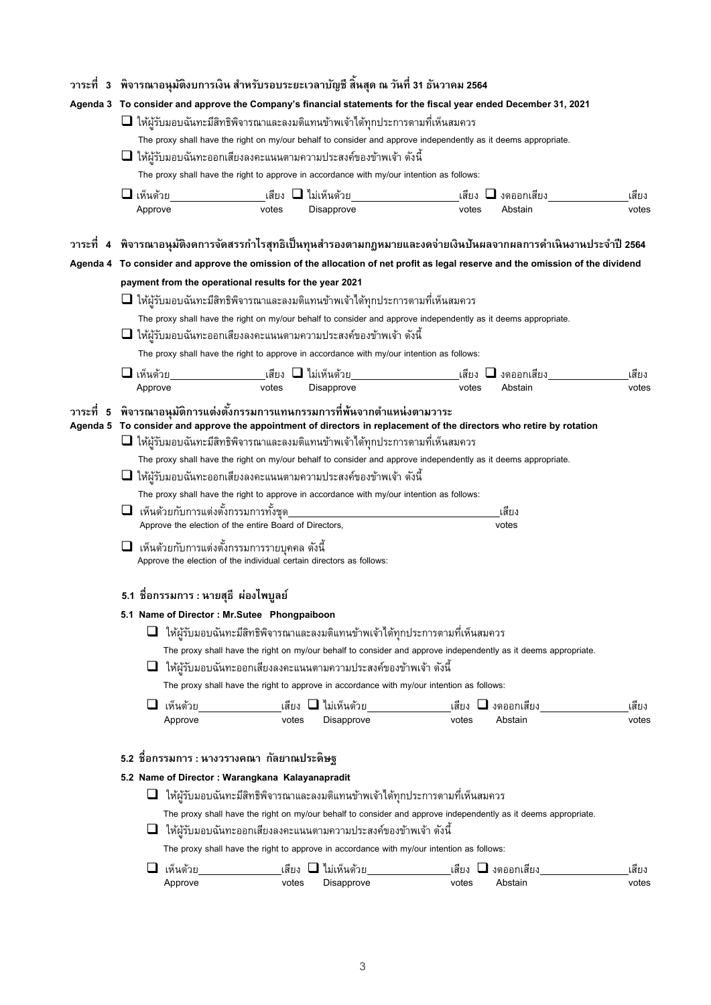|             |                            | ิ วาระที่   3   พิจารณาอนุมัติงบการเงิน สำหรับรอบระยะเวลาบัญชี สิ้นสุด ณ วันที่ 31 ธันวาคม 2564                                                                                           |                                                             |                            |       |                                                                                                                                 |                |  |  |
|-------------|----------------------------|-------------------------------------------------------------------------------------------------------------------------------------------------------------------------------------------|-------------------------------------------------------------|----------------------------|-------|---------------------------------------------------------------------------------------------------------------------------------|----------------|--|--|
|             |                            | Agenda 3 To consider and approve the Company's financial statements for the fiscal year ended December 31, 2021                                                                           |                                                             |                            |       |                                                                                                                                 |                |  |  |
|             |                            | $\Box$ ให้ผู้รับมอบฉันทะมีสิทธิพิจารณาและลงมติแทนข้าพเจ้าได้ทุกประการตามที่เห็นสมควร                                                                                                      |                                                             |                            |       |                                                                                                                                 |                |  |  |
|             |                            | The proxy shall have the right on my/our behalf to consider and approve independently as it deems appropriate.                                                                            |                                                             |                            |       |                                                                                                                                 |                |  |  |
|             |                            | $\Box$ ให้ผู้รับมอบฉันทะออกเสี่ยงลงคะแนนตามความประสงค์ของข้าพเจ้า ดังนี้                                                                                                                  |                                                             |                            |       |                                                                                                                                 |                |  |  |
|             |                            | The proxy shall have the right to approve in accordance with my/our intention as follows:                                                                                                 |                                                             |                            |       |                                                                                                                                 |                |  |  |
|             | $\Box$ เห็นด้วย            |                                                                                                                                                                                           | ี่ เสียง                     ไม่เห็นด้วย                    |                            |       | _เสียง □ งดออกเสียง_                                                                                                            | เสียง          |  |  |
|             | Approve                    |                                                                                                                                                                                           | votes                                                       | Disapprove                 | votes | Abstain                                                                                                                         | votes          |  |  |
|             |                            |                                                                                                                                                                                           |                                                             |                            |       |                                                                                                                                 |                |  |  |
|             |                            |                                                                                                                                                                                           |                                                             |                            |       | ้วาระที่ 4 พิจารณาอนุมัติงดการจัดสรรกำไรสุทธิเป็นทุนสำรองตามกฎหมายและงดจ่ายเงินปันผลจากผลการดำเนินงานประจำปี 2564               |                |  |  |
|             |                            |                                                                                                                                                                                           |                                                             |                            |       | Agenda 4 To consider and approve the omission of the allocation of net profit as legal reserve and the omission of the dividend |                |  |  |
|             |                            | payment from the operational results for the year 2021                                                                                                                                    |                                                             |                            |       |                                                                                                                                 |                |  |  |
|             |                            | $\Box$ ให้ผู้รับมอบฉันทะมีสิทธิพิจารณาและลงมติแทนข้าพเจ้าได้ทุกประการตามที่เห็นสมควร                                                                                                      |                                                             |                            |       |                                                                                                                                 |                |  |  |
|             |                            | The proxy shall have the right on my/our behalf to consider and approve independently as it deems appropriate.<br>$\Box$ ให้ผู้รับมอบฉันทะออกเสียงลงคะแนนตามความประสงค์ของข้าพเจ้า ดังนี้ |                                                             |                            |       |                                                                                                                                 |                |  |  |
|             |                            | The proxy shall have the right to approve in accordance with my/our intention as follows:                                                                                                 |                                                             |                            |       |                                                                                                                                 |                |  |  |
|             |                            |                                                                                                                                                                                           |                                                             |                            |       |                                                                                                                                 |                |  |  |
|             | $\Box$ เห็นด้วย<br>Approve | __________________เสียง <b>❑ ไ</b> ม่เห็นด้วย_                                                                                                                                            | votes                                                       | Disapprove                 | votes | _เสียง ◘ งดออกเสียง_<br>Abstain                                                                                                 | เสียง<br>votes |  |  |
|             |                            |                                                                                                                                                                                           |                                                             |                            |       |                                                                                                                                 |                |  |  |
| วาระที<br>5 |                            | พิจารณาอนุมัติการแต่งตั้งกรรมการแทนกรรมการที่พ้นจากตำแหน่งตามวาระ                                                                                                                         |                                                             |                            |       | Agenda 5 To consider and approve the appointment of directors in replacement of the directors who retire by rotation            |                |  |  |
|             |                            | $\Box$ ให้ผู้รับมอบฉันทะมีสิทธิพิจารณาและลงมติแทนข้าพเจ้าได้ทุกประการตามที่เห็นสมควร                                                                                                      |                                                             |                            |       |                                                                                                                                 |                |  |  |
|             |                            | The proxy shall have the right on my/our behalf to consider and approve independently as it deems appropriate.                                                                            |                                                             |                            |       |                                                                                                                                 |                |  |  |
|             |                            | $\Box$ ให้ผู้รับมอบฉันทะออกเสียงลงคะแนนตามความประสงค์ของข้าพเจ้า ดังนี้                                                                                                                   |                                                             |                            |       |                                                                                                                                 |                |  |  |
|             |                            | The proxy shall have the right to approve in accordance with my/our intention as follows:                                                                                                 |                                                             |                            |       |                                                                                                                                 |                |  |  |
|             |                            | $\Box$ เห็นด้วยกับการแต่งตั้งกรรมการทั้งชุด                                                                                                                                               |                                                             |                            |       | เสียง                                                                                                                           |                |  |  |
|             |                            | Approve the election of the entire Board of Directors,                                                                                                                                    |                                                             |                            |       | votes                                                                                                                           |                |  |  |
|             |                            | เห็นด้วยกับการแต่งตั้งกรรมการรายบุคคล ดังนี้<br>Approve the election of the individual certain directors as follows:                                                                      |                                                             |                            |       |                                                                                                                                 |                |  |  |
|             |                            | 5.1 ชื่อกรรมการ : หายสุธี ผ่องไพบูลย์                                                                                                                                                     |                                                             |                            |       |                                                                                                                                 |                |  |  |
|             |                            | 5.1 Name of Director : Mr.Sutee Phongpaiboon                                                                                                                                              |                                                             |                            |       |                                                                                                                                 |                |  |  |
|             |                            | ให้ผู้รับมอบฉันทะมีสิทธิพิจารณาและลงมติแทนข้าพเจ้าได้ทุกประการตามที่เห็นสมควร                                                                                                             |                                                             |                            |       |                                                                                                                                 |                |  |  |
|             |                            |                                                                                                                                                                                           |                                                             |                            |       | The proxy shall have the right on my/our behalf to consider and approve independently as it deems appropriate.                  |                |  |  |
|             |                            | ให้ผู้รับมอบฉันทะออกเสียงลงคะแนนตามความประสงค์ของข้าพเจ้า ดังนี้                                                                                                                          |                                                             |                            |       |                                                                                                                                 |                |  |  |
|             |                            | The proxy shall have the right to approve in accordance with my/our intention as follows:                                                                                                 |                                                             |                            |       |                                                                                                                                 |                |  |  |
|             |                            |                                                                                                                                                                                           |                                                             |                            |       |                                                                                                                                 |                |  |  |
|             |                            | เห็นด้วย<br>Approve                                                                                                                                                                       | ________________เสียง                 'ไม่เห็นด้วย<br>votes | Disapprove                 | votes | $\mathfrak l$ สี่ยง $\Box$ งดออกเสี่ยง<br>Abstain                                                                               | เสียง<br>votes |  |  |
|             |                            |                                                                                                                                                                                           |                                                             |                            |       |                                                                                                                                 |                |  |  |
|             |                            | 5.2 ชื่อกรรมการ : นางวรางคณา กัลยาณประดิษฐ                                                                                                                                                |                                                             |                            |       |                                                                                                                                 |                |  |  |
|             |                            |                                                                                                                                                                                           |                                                             |                            |       |                                                                                                                                 |                |  |  |
|             |                            | 5.2 Name of Director: Warangkana Kalayanapradit                                                                                                                                           |                                                             |                            |       |                                                                                                                                 |                |  |  |
|             |                            | $\Box$ ിห้ผู้รับมอบฉันทะมีสิทธิพิจารณาและลงมติแทนข้าพเจ้าได้ทุกประการตามที่เห็นสมควร                                                                                                      |                                                             |                            |       |                                                                                                                                 |                |  |  |
|             |                            |                                                                                                                                                                                           |                                                             |                            |       | The proxy shall have the right on my/our behalf to consider and approve independently as it deems appropriate.                  |                |  |  |
|             |                            | $\Box$ ให้ผู้รับมอบฉันทะออกเสียงลงคะแนนตามความประสงค์ของข้าพเจ้า ดังนี้                                                                                                                   |                                                             |                            |       |                                                                                                                                 |                |  |  |
|             |                            | The proxy shall have the right to approve in accordance with my/our intention as follows:                                                                                                 |                                                             |                            |       |                                                                                                                                 |                |  |  |
|             |                            | เห็นด้วย                                                                                                                                                                                  |                                                             | ี่ เสียง  ่⊒ี่ ไม่เห็นด้วย |       | เสียง ◘ งดออกเสียง_                                                                                                             | เสียง          |  |  |
|             |                            | Approve                                                                                                                                                                                   | votes                                                       | Disapprove                 | votes | Abstain                                                                                                                         | votes          |  |  |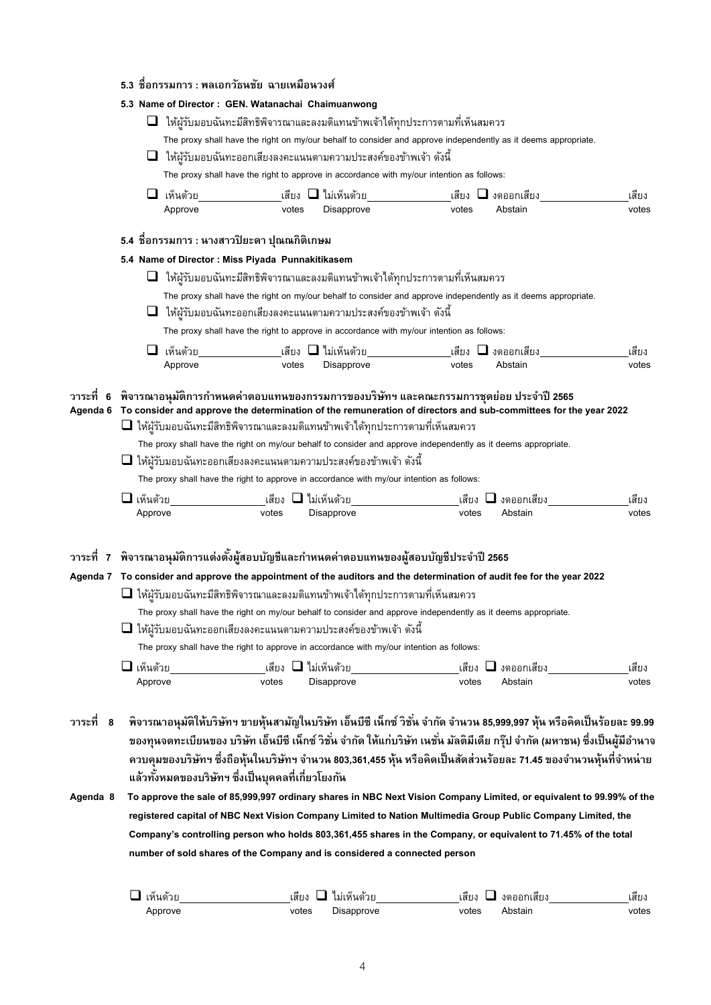|  | 5.3 ชื่อกรรมการ : พลเอกวัธนชัย ฉายเหมือนวงศ์ |
|--|----------------------------------------------|
|  |                                              |

|                       |                       |                     | 5.3 Name of Director: GEN. Watanachai Chaimuanwong |                                                                                                                                                                                                                                                                                                 |                                                                                                                                                                                                                                   |                                                                                                                                                                                                                                                                                                                                                                                                                                                                                                                                                                                                                                                                                                                                             |                |
|-----------------------|-----------------------|---------------------|----------------------------------------------------|-------------------------------------------------------------------------------------------------------------------------------------------------------------------------------------------------------------------------------------------------------------------------------------------------|-----------------------------------------------------------------------------------------------------------------------------------------------------------------------------------------------------------------------------------|---------------------------------------------------------------------------------------------------------------------------------------------------------------------------------------------------------------------------------------------------------------------------------------------------------------------------------------------------------------------------------------------------------------------------------------------------------------------------------------------------------------------------------------------------------------------------------------------------------------------------------------------------------------------------------------------------------------------------------------------|----------------|
|                       |                       |                     |                                                    |                                                                                                                                                                                                                                                                                                 | $\Box$ ിห้ผู้รับมอบฉันทะมีสิทธิพิจารณาและลงมติแทนข้าพเจ้าได้ทุกประการตามที่เห็นสมควร                                                                                                                                              |                                                                                                                                                                                                                                                                                                                                                                                                                                                                                                                                                                                                                                                                                                                                             |                |
|                       |                       |                     |                                                    |                                                                                                                                                                                                                                                                                                 |                                                                                                                                                                                                                                   | The proxy shall have the right on my/our behalf to consider and approve independently as it deems appropriate.                                                                                                                                                                                                                                                                                                                                                                                                                                                                                                                                                                                                                              |                |
|                       |                       |                     |                                                    | $\Box$ ിห้ผู้รับมอบฉันทะออกเสียงลงคะแนนตามความประสงค์ของข้าพเจ้า ดังนี้                                                                                                                                                                                                                         |                                                                                                                                                                                                                                   |                                                                                                                                                                                                                                                                                                                                                                                                                                                                                                                                                                                                                                                                                                                                             |                |
|                       |                       |                     |                                                    |                                                                                                                                                                                                                                                                                                 | The proxy shall have the right to approve in accordance with my/our intention as follows:                                                                                                                                         |                                                                                                                                                                                                                                                                                                                                                                                                                                                                                                                                                                                                                                                                                                                                             |                |
|                       |                       |                     |                                                    |                                                                                                                                                                                                                                                                                                 |                                                                                                                                                                                                                                   |                                                                                                                                                                                                                                                                                                                                                                                                                                                                                                                                                                                                                                                                                                                                             |                |
|                       |                       | เห็นด้วย<br>Approve | votes                                              | Disapprove                                                                                                                                                                                                                                                                                      | เสียง $\square$ ไม่เห็นด้วย                 เสียง $\square$ งดออกเสียง<br>votes                                                                                                                                                   | Abstain                                                                                                                                                                                                                                                                                                                                                                                                                                                                                                                                                                                                                                                                                                                                     | เสียง<br>votes |
|                       |                       |                     |                                                    |                                                                                                                                                                                                                                                                                                 |                                                                                                                                                                                                                                   |                                                                                                                                                                                                                                                                                                                                                                                                                                                                                                                                                                                                                                                                                                                                             |                |
|                       |                       |                     | 5.4 ชื่อกรรมการ : นางสาวปิยะดา ปุณณกิติเกษม        |                                                                                                                                                                                                                                                                                                 |                                                                                                                                                                                                                                   |                                                                                                                                                                                                                                                                                                                                                                                                                                                                                                                                                                                                                                                                                                                                             |                |
|                       |                       |                     | 5.4 Name of Director : Miss Piyada Punnakitikasem  |                                                                                                                                                                                                                                                                                                 |                                                                                                                                                                                                                                   |                                                                                                                                                                                                                                                                                                                                                                                                                                                                                                                                                                                                                                                                                                                                             |                |
|                       |                       |                     |                                                    |                                                                                                                                                                                                                                                                                                 | $\Box$ ിห้ผู้รับมอบฉันทะมีสิทธิพิจารณาและลงมติแทนข้าพเจ้าได้ทุกประการตามที่เห็นสมควร                                                                                                                                              |                                                                                                                                                                                                                                                                                                                                                                                                                                                                                                                                                                                                                                                                                                                                             |                |
|                       |                       |                     |                                                    |                                                                                                                                                                                                                                                                                                 |                                                                                                                                                                                                                                   | The proxy shall have the right on my/our behalf to consider and approve independently as it deems appropriate.                                                                                                                                                                                                                                                                                                                                                                                                                                                                                                                                                                                                                              |                |
|                       |                       |                     |                                                    | $\Box$ ിห้ผู้รับมอบฉันทะออกเสียงลงคะแนนตามความประสงค์ของข้าพเจ้า ดังนี้                                                                                                                                                                                                                         |                                                                                                                                                                                                                                   |                                                                                                                                                                                                                                                                                                                                                                                                                                                                                                                                                                                                                                                                                                                                             |                |
|                       |                       |                     |                                                    |                                                                                                                                                                                                                                                                                                 | The proxy shall have the right to approve in accordance with my/our intention as follows:                                                                                                                                         |                                                                                                                                                                                                                                                                                                                                                                                                                                                                                                                                                                                                                                                                                                                                             |                |
|                       |                       | เห็นด้วย            |                                                    |                                                                                                                                                                                                                                                                                                 |                                                                                                                                                                                                                                   |                                                                                                                                                                                                                                                                                                                                                                                                                                                                                                                                                                                                                                                                                                                                             | เสียง          |
|                       |                       | Approve             | votes                                              | Disapprove                                                                                                                                                                                                                                                                                      | votes                                                                                                                                                                                                                             | Abstain                                                                                                                                                                                                                                                                                                                                                                                                                                                                                                                                                                                                                                                                                                                                     | votes          |
|                       |                       |                     |                                                    |                                                                                                                                                                                                                                                                                                 |                                                                                                                                                                                                                                   |                                                                                                                                                                                                                                                                                                                                                                                                                                                                                                                                                                                                                                                                                                                                             |                |
|                       | $\Box$ เห็นด้วย       |                     | เสียง        ไม่เห็นด้วย                           | $\Box$ ให้ผู้รับมอบฉันทะออกเสี่ยงลงคะแนนตามความประสงค์ของข้าพเจ้า ดังนี้<br>The proxy shall have the right to approve in accordance with my/our intention as follows:                                                                                                                           |                                                                                                                                                                                                                                   |                                                                                                                                                                                                                                                                                                                                                                                                                                                                                                                                                                                                                                                                                                                                             | เสียง          |
|                       |                       |                     |                                                    |                                                                                                                                                                                                                                                                                                 |                                                                                                                                                                                                                                   |                                                                                                                                                                                                                                                                                                                                                                                                                                                                                                                                                                                                                                                                                                                                             |                |
|                       | Approve               |                     | votes                                              | Disapprove                                                                                                                                                                                                                                                                                      | votes                                                                                                                                                                                                                             | Abstain                                                                                                                                                                                                                                                                                                                                                                                                                                                                                                                                                                                                                                                                                                                                     | votes          |
|                       | ⊔ เห็นด้วย<br>Approve |                     | เสียง<br>votes                                     | $\Box$ ให้ผู้รับมอบฉันทะมีสิทธิพิจารณาและลงมติแทนข้าพเจ้าได้ทุกประการตามที่เห็นสมควร<br>$\Box$ ให้ผ้รับมอบฉันทะออกเสียงลงคะแนนตามความประสงค์ของข้าพเจ้า ดังนี้<br>The proxy shall have the right to approve in accordance with my/our intention as follows:<br>$\Box$ ไม่เห็นด้วย<br>Disapprove | วาระที่   7   พิจารณาอนุมัติการแต่งตั้งผู้สอบบัญชีและกำหนดค่าตอบแทนของผู้สอบบัญชีประจำปี 2565<br>The proxy shall have the right on my/our behalf to consider and approve independently as it deems appropriate.<br>เสียง<br>votes | Agenda 7 To consider and approve the appointment of the auditors and the determination of audit fee for the year 2022<br>$\Box$ งดออกเสียง<br>Abstain                                                                                                                                                                                                                                                                                                                                                                                                                                                                                                                                                                                       | เสียง<br>votes |
| วาระที่ 8<br>Agenda 8 |                       |                     | แล้วทั้งหมดของบริษัทฯ ซึ่งเป็นบุคคลที่เกี่ยวโยงกัน | number of sold shares of the Company and is considered a connected person                                                                                                                                                                                                                       |                                                                                                                                                                                                                                   | ี พิจารณาอนุมัติให้บริษัทฯ ขายหุ้นสามัญในบริษัท เอ็นบีซี เน็กซ์ วิชั่น จำกัด จำนวน 85,999,997 หุ้น หรือคิดเป็นร้อยละ 99.99<br>ของทุนจดทะเบียนของ บริษัท เอ็นบีซี เน็กซ์ วิชั่น จำกัด ให้แก่บริษัท เนชั่น มัลติมีเดีย กรุ๊ป จำกัด (มหาชน) ซึ่งเป็นผู้มีอำนาจ<br>ควบคุมของบริษัทฯ ซึ่งถือหุ้นในบริษัทฯ จำนวน 803,361,455 หุ้น หรือคิดเป็นสัดส่วนร้อยละ 71.45 ของจำนวนหุ้นที่จำหน่าย<br>To approve the sale of 85,999,997 ordinary shares in NBC Next Vision Company Limited, or equivalent to 99.99% of the<br>registered capital of NBC Next Vision Company Limited to Nation Multimedia Group Public Company Limited, the<br>Company's controlling person who holds 803,361,455 shares in the Company, or equivalent to 71.45% of the total |                |

| เห็นด้วย | เสียง | ้ไม่เห็นด้วย | เสยง  | งดออกเสียง | เสยง  |
|----------|-------|--------------|-------|------------|-------|
| Approve  | votes | Disapprove   | votes | Abstair    | votes |